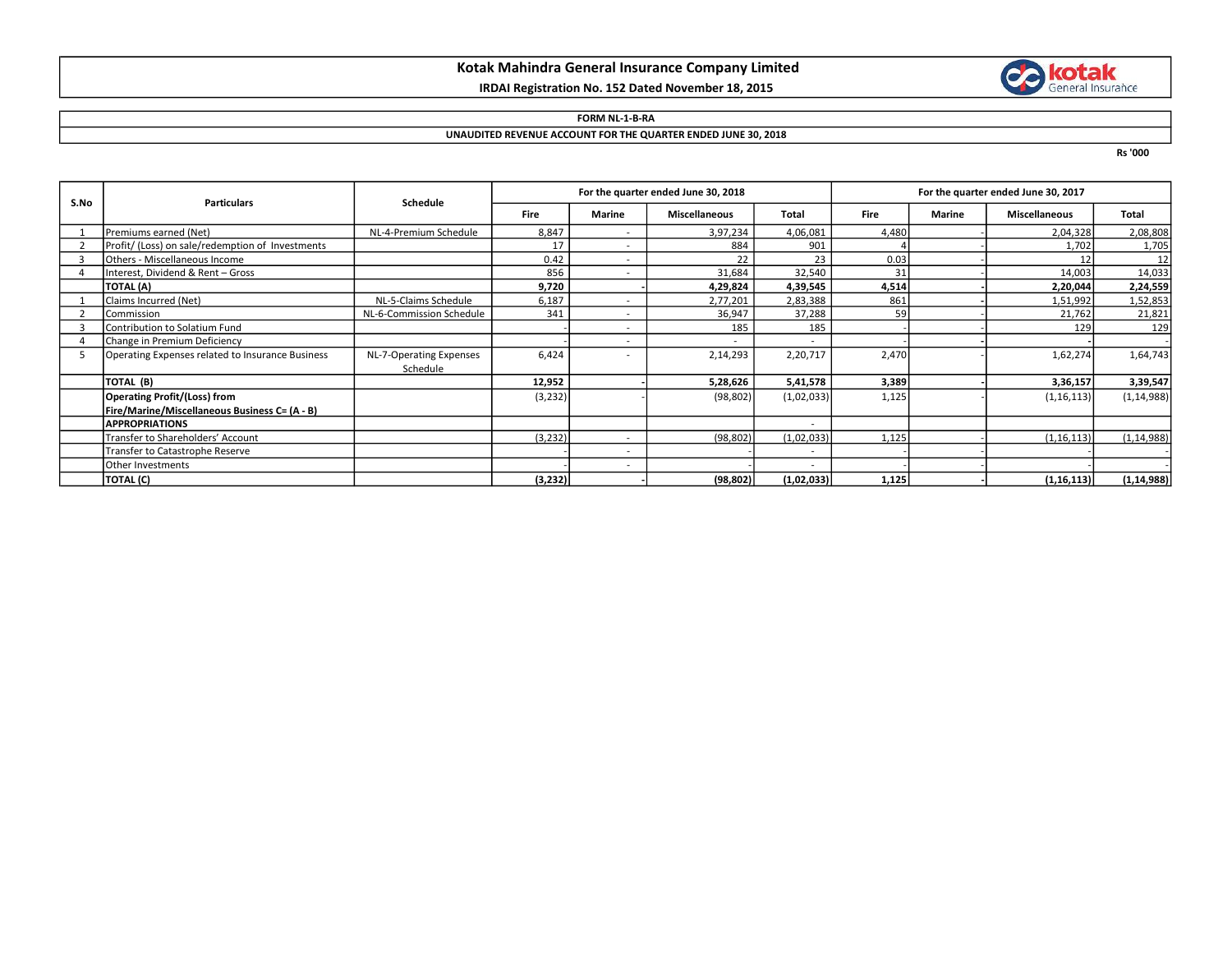# Kotak Mahindra General Insurance Company Limited

## IRDAI Registration No. 152 Dated November 18, 2015



## FORM NL-1-B-RA

#### UNAUDITED REVENUE ACCOUNT FOR THE QUARTER ENDED JUNE 30, 2018

Rs '000

| S.No | <b>Particulars</b>                               | Schedule                 | For the quarter ended June 30, 2018 |                          |                      |            | For the quarter ended June 30, 2017 |               |                      |              |
|------|--------------------------------------------------|--------------------------|-------------------------------------|--------------------------|----------------------|------------|-------------------------------------|---------------|----------------------|--------------|
|      |                                                  |                          | <b>Fire</b>                         | <b>Marine</b>            | <b>Miscellaneous</b> | Total      | <b>Fire</b>                         | <b>Marine</b> | <b>Miscellaneous</b> | Total        |
|      | Premiums earned (Net)                            | NL-4-Premium Schedule    | 8,847                               | $\overline{\phantom{a}}$ | 3,97,234             | 4,06,081   | 4,480                               |               | 2,04,328             | 2,08,808     |
|      | Profit/ (Loss) on sale/redemption of Investments |                          | 17                                  | $\overline{\phantom{a}}$ | 884                  | 901        |                                     |               | 1,702                | 1,705        |
|      | Others - Miscellaneous Income                    |                          | 0.42                                | $\overline{\phantom{a}}$ | 22                   | 23         | 0.03                                |               | 12                   | 12           |
|      | Interest, Dividend & Rent - Gross                |                          | 856                                 | $\overline{\phantom{a}}$ | 31,684               | 32,540     | 31                                  |               | 14,003               | 14,033       |
|      | TOTAL (A)                                        |                          | 9,720                               |                          | 4,29,824             | 4,39,545   | 4,514                               |               | 2,20,044             | 2,24,559     |
|      | Claims Incurred (Net)                            | NL-5-Claims Schedule     | 6,187                               | $\overline{\phantom{a}}$ | 2,77,201             | 2,83,388   | 861                                 |               | 1,51,992             | 1,52,853     |
|      | Commission                                       | NL-6-Commission Schedule | 341                                 |                          | 36,947               | 37,288     | 59                                  |               | 21,762               | 21,821       |
|      | Contribution to Solatium Fund                    |                          |                                     | $\overline{\phantom{a}}$ | 185                  | 185        |                                     |               | 129                  | 129          |
|      | Change in Premium Deficiency                     |                          |                                     | $\overline{\phantom{a}}$ |                      |            |                                     |               |                      |              |
|      | Operating Expenses related to Insurance Business | NL-7-Operating Expenses  | 6,424                               |                          | 2,14,293             | 2,20,717   | 2,470                               |               | 1,62,274             | 1,64,743     |
|      |                                                  | Schedule                 |                                     |                          |                      |            |                                     |               |                      |              |
|      | TOTAL (B)                                        |                          | 12,952                              |                          | 5,28,626             | 5,41,578   | 3,389                               |               | 3,36,157             | 3,39,547     |
|      | Operating Profit/(Loss) from                     |                          | (3, 232)                            |                          | (98, 802)            | (1,02,033) | 1,125                               |               | (1, 16, 113)         | (1, 14, 988) |
|      | Fire/Marine/Miscellaneous Business C= (A - B)    |                          |                                     |                          |                      |            |                                     |               |                      |              |
|      | <b>APPROPRIATIONS</b>                            |                          |                                     |                          |                      |            |                                     |               |                      |              |
|      | Transfer to Shareholders' Account                |                          | (3, 232)                            | $\overline{\phantom{a}}$ | (98, 802)            | (1,02,033) | 1,125                               |               | (1, 16, 113)         | (1, 14, 988) |
|      | Transfer to Catastrophe Reserve                  |                          |                                     | $\overline{\phantom{a}}$ |                      | $\sim$     |                                     |               |                      |              |
|      | Other Investments                                |                          |                                     | $\overline{\phantom{a}}$ |                      |            |                                     |               |                      |              |
|      | TOTAL (C)                                        |                          | (3,232)                             |                          | (98, 802)            | (1,02,033) | 1,125                               |               | (1, 16, 113)         | (1, 14, 988) |